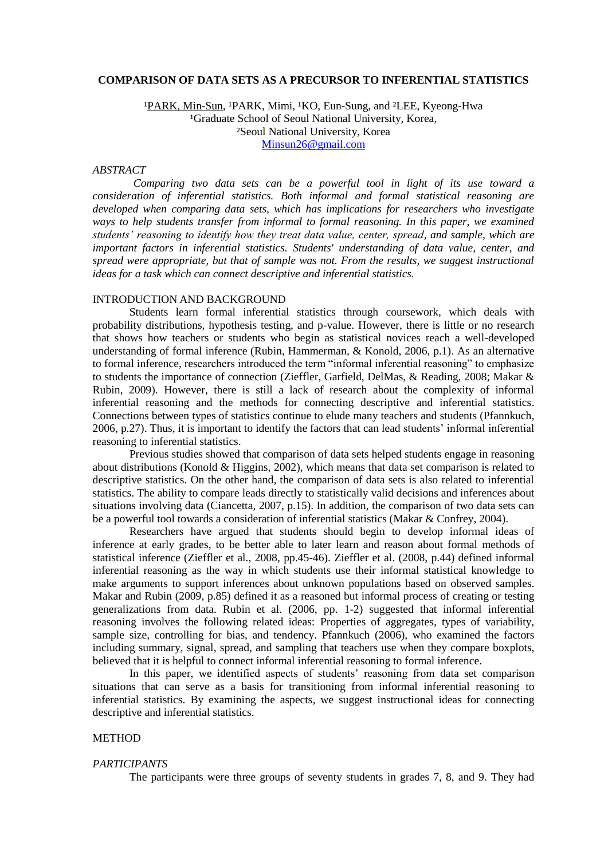### **COMPARISON OF DATA SETS AS A PRECURSOR TO INFERENTIAL STATISTICS**

<sup>1</sup>PARK, Min-Sun, <sup>1</sup>PARK, Mimi, <sup>1</sup>KO, Eun-Sung, and <sup>2</sup>LEE, Kyeong-Hwa <sup>1</sup>Graduate School of Seoul National University, Korea, ²Seoul National University, Korea [Minsun26@gmail.com](mailto:Minsun26@gmail.com)

### *ABSTRACT*

*Comparing two data sets can be a powerful tool in light of its use toward a consideration of inferential statistics. Both informal and formal statistical reasoning are developed when comparing data sets, which has implications for researchers who investigate ways to help students transfer from informal to formal reasoning. In this paper, we examined students' reasoning to identify how they treat data value, center, spread, and sample, which are important factors in inferential statistics. Students' understanding of data value, center, and spread were appropriate, but that of sample was not. From the results, we suggest instructional ideas for a task which can connect descriptive and inferential statistics.* 

# INTRODUCTION AND BACKGROUND

Students learn formal inferential statistics through coursework, which deals with probability distributions, hypothesis testing, and p-value. However, there is little or no research that shows how teachers or students who begin as statistical novices reach a well-developed understanding of formal inference (Rubin, Hammerman, & Konold, 2006, p.1). As an alternative to formal inference, researchers introduced the term "informal inferential reasoning" to emphasize to students the importance of connection (Zieffler, Garfield, DelMas, & Reading, 2008; Makar & Rubin, 2009). However, there is still a lack of research about the complexity of informal inferential reasoning and the methods for connecting descriptive and inferential statistics. Connections between types of statistics continue to elude many teachers and students (Pfannkuch, 2006, p.27). Thus, it is important to identify the factors that can lead students' informal inferential reasoning to inferential statistics.

Previous studies showed that comparison of data sets helped students engage in reasoning about distributions (Konold & Higgins, 2002), which means that data set comparison is related to descriptive statistics. On the other hand, the comparison of data sets is also related to inferential statistics. The ability to compare leads directly to statistically valid decisions and inferences about situations involving data (Ciancetta, 2007, p.15). In addition, the comparison of two data sets can be a powerful tool towards a consideration of inferential statistics (Makar & Confrey, 2004).

Researchers have argued that students should begin to develop informal ideas of inference at early grades, to be better able to later learn and reason about formal methods of statistical inference (Zieffler et al., 2008, pp.45-46). Zieffler et al. (2008, p.44) defined informal inferential reasoning as the way in which students use their informal statistical knowledge to make arguments to support inferences about unknown populations based on observed samples. Makar and Rubin (2009, p.85) defined it as a reasoned but informal process of creating or testing generalizations from data. Rubin et al. (2006, pp. 1-2) suggested that informal inferential reasoning involves the following related ideas: Properties of aggregates, types of variability, sample size, controlling for bias, and tendency. Pfannkuch (2006), who examined the factors including summary, signal, spread, and sampling that teachers use when they compare boxplots, believed that it is helpful to connect informal inferential reasoning to formal inference.

In this paper, we identified aspects of students' reasoning from data set comparison situations that can serve as a basis for transitioning from informal inferential reasoning to inferential statistics. By examining the aspects, we suggest instructional ideas for connecting descriptive and inferential statistics.

### METHOD

### *PARTICIPANTS*

The participants were three groups of seventy students in grades 7, 8, and 9. They had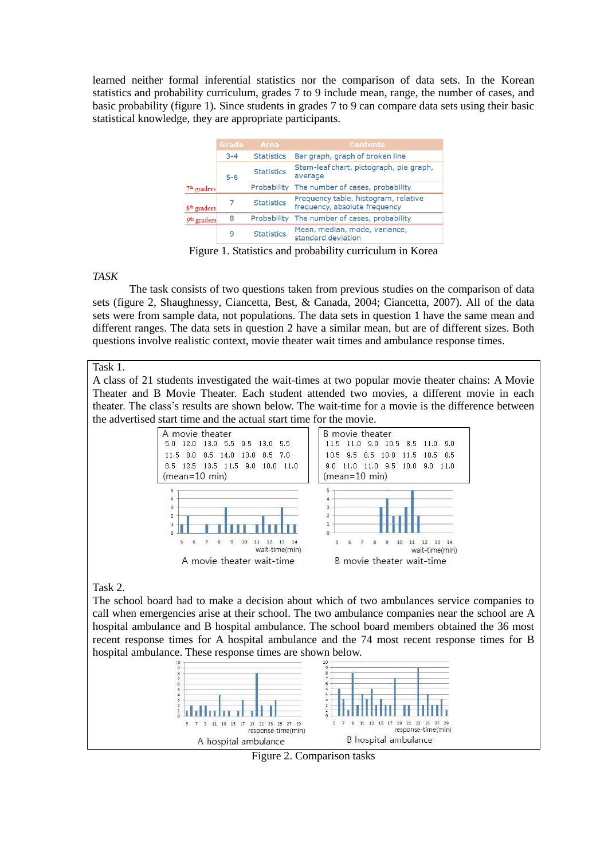learned neither formal inferential statistics nor the comparison of data sets. In the Korean statistics and probability curriculum, grades 7 to 9 include mean, range, the number of cases, and basic probability (figure 1). Since students in grades 7 to 9 can compare data sets using their basic statistical knowledge, they are appropriate participants.

|                         | Grade   | <b>Area</b>       | <b>Contents</b>                                                       |
|-------------------------|---------|-------------------|-----------------------------------------------------------------------|
|                         | $3 - 4$ | <b>Statistics</b> | Bar graph, graph of broken line                                       |
|                         | $5-6$   | <b>Statistics</b> | Stem-leaf chart, pictograph, pie graph,<br>average                    |
| $7th$ graders           |         | Probability       | The number of cases, probability                                      |
| 8 <sup>th</sup> graders |         | <b>Statistics</b> | Frequency table, histogram, relative<br>frequency, absolute frequency |
| 9 <sup>th</sup> graders | 8       | Probability       | The number of cases, probability                                      |
|                         | 9       | <b>Statistics</b> | Mean, median, mode, variance,<br>standard deviation                   |

Figure 1. Statistics and probability curriculum in Korea

*TASK*

The task consists of two questions taken from previous studies on the comparison of data sets (figure 2, Shaughnessy, Ciancetta, Best, & Canada, 2004; Ciancetta, 2007). All of the data sets were from sample data, not populations. The data sets in question 1 have the same mean and different ranges. The data sets in question 2 have a similar mean, but are of different sizes. Both questions involve realistic context, movie theater wait times and ambulance response times.

Task 1.

A class of 21 students investigated the wait-times at two popular movie theater chains: A Movie Theater and B Movie Theater. Each student attended two movies, a different movie in each theater. The class's results are shown below. The wait-time for a movie is the difference between the advertised start time and the actual start time for the movie.



Task 2.

The school board had to make a decision about which of two ambulances service companies to call when emergencies arise at their school. The two ambulance companies near the school are A hospital ambulance and B hospital ambulance. The school board members obtained the 36 most recent response times for A hospital ambulance and the 74 most recent response times for B hospital ambulance. These response times are shown below.



Figure 2. Comparison tasks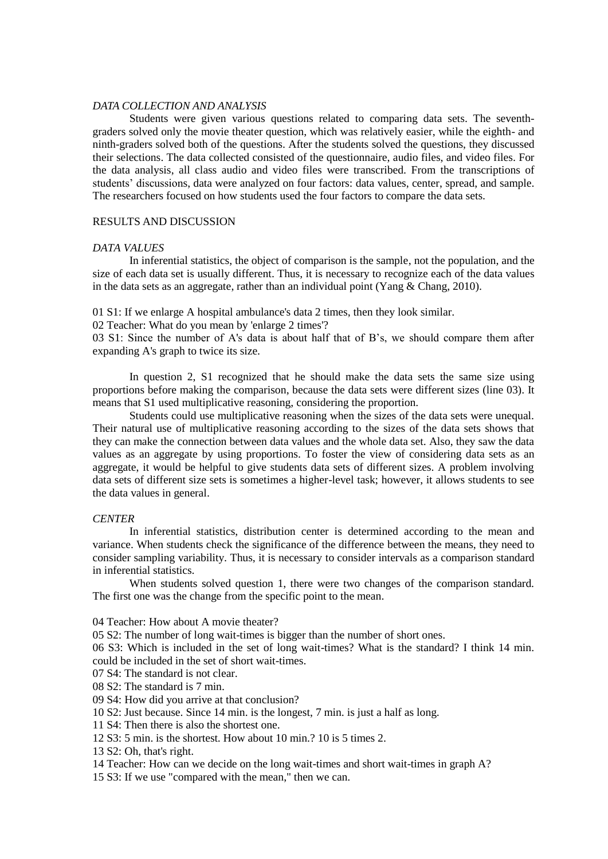# *DATA COLLECTION AND ANALYSIS*

Students were given various questions related to comparing data sets. The seventhgraders solved only the movie theater question, which was relatively easier, while the eighth- and ninth-graders solved both of the questions. After the students solved the questions, they discussed their selections. The data collected consisted of the questionnaire, audio files, and video files. For the data analysis, all class audio and video files were transcribed. From the transcriptions of students' discussions, data were analyzed on four factors: data values, center, spread, and sample. The researchers focused on how students used the four factors to compare the data sets.

# RESULTS AND DISCUSSION

#### *DATA VALUES*

In inferential statistics, the object of comparison is the sample, not the population, and the size of each data set is usually different. Thus, it is necessary to recognize each of the data values in the data sets as an aggregate, rather than an individual point (Yang & Chang, 2010).

01 S1: If we enlarge A hospital ambulance's data 2 times, then they look similar.

02 Teacher: What do you mean by 'enlarge 2 times'?

03 S1: Since the number of A's data is about half that of B's, we should compare them after expanding A's graph to twice its size.

In question 2, S1 recognized that he should make the data sets the same size using proportions before making the comparison, because the data sets were different sizes (line 03). It means that S1 used multiplicative reasoning, considering the proportion.

Students could use multiplicative reasoning when the sizes of the data sets were unequal. Their natural use of multiplicative reasoning according to the sizes of the data sets shows that they can make the connection between data values and the whole data set. Also, they saw the data values as an aggregate by using proportions. To foster the view of considering data sets as an aggregate, it would be helpful to give students data sets of different sizes. A problem involving data sets of different size sets is sometimes a higher-level task; however, it allows students to see the data values in general.

## *CENTER*

In inferential statistics, distribution center is determined according to the mean and variance. When students check the significance of the difference between the means, they need to consider sampling variability. Thus, it is necessary to consider intervals as a comparison standard in inferential statistics.

When students solved question 1, there were two changes of the comparison standard. The first one was the change from the specific point to the mean.

04 Teacher: How about A movie theater?

05 S2: The number of long wait-times is bigger than the number of short ones.

06 S3: Which is included in the set of long wait-times? What is the standard? I think 14 min. could be included in the set of short wait-times.

07 S4: The standard is not clear.

08 S2: The standard is 7 min.

09 S4: How did you arrive at that conclusion?

10 S2: Just because. Since 14 min. is the longest, 7 min. is just a half as long.

11 S4: Then there is also the shortest one.

12 S3: 5 min. is the shortest. How about 10 min.? 10 is 5 times 2.

13 S2: Oh, that's right.

14 Teacher: How can we decide on the long wait-times and short wait-times in graph A?

15 S3: If we use "compared with the mean," then we can.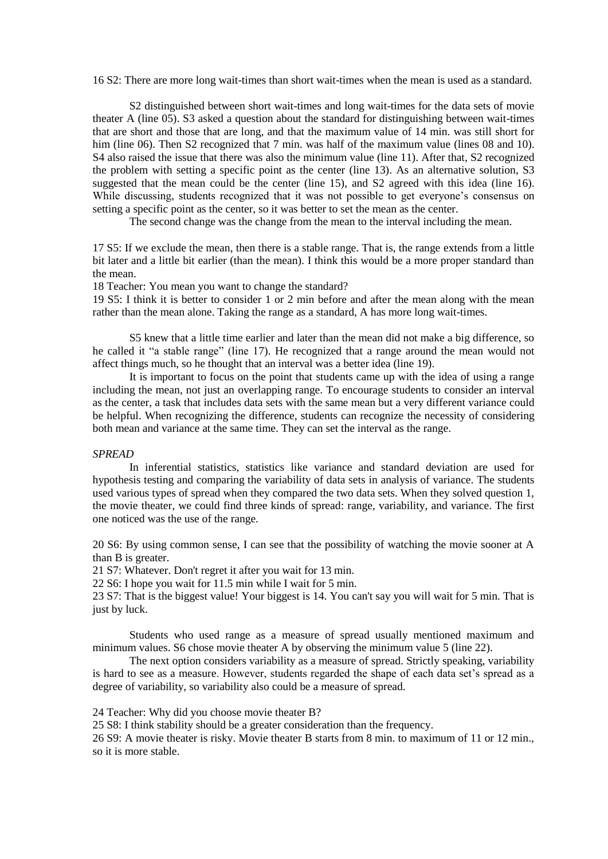16 S2: There are more long wait-times than short wait-times when the mean is used as a standard.

S2 distinguished between short wait-times and long wait-times for the data sets of movie theater A (line 05). S3 asked a question about the standard for distinguishing between wait-times that are short and those that are long, and that the maximum value of 14 min. was still short for him (line 06). Then S2 recognized that 7 min. was half of the maximum value (lines 08 and 10). S4 also raised the issue that there was also the minimum value (line 11). After that, S2 recognized the problem with setting a specific point as the center (line 13). As an alternative solution, S3 suggested that the mean could be the center (line 15), and S2 agreed with this idea (line 16). While discussing, students recognized that it was not possible to get everyone's consensus on setting a specific point as the center, so it was better to set the mean as the center.

The second change was the change from the mean to the interval including the mean.

17 S5: If we exclude the mean, then there is a stable range. That is, the range extends from a little bit later and a little bit earlier (than the mean). I think this would be a more proper standard than the mean.

18 Teacher: You mean you want to change the standard?

19 S5: I think it is better to consider 1 or 2 min before and after the mean along with the mean rather than the mean alone. Taking the range as a standard, A has more long wait-times.

S5 knew that a little time earlier and later than the mean did not make a big difference, so he called it "a stable range" (line 17). He recognized that a range around the mean would not affect things much, so he thought that an interval was a better idea (line 19).

It is important to focus on the point that students came up with the idea of using a range including the mean, not just an overlapping range. To encourage students to consider an interval as the center, a task that includes data sets with the same mean but a very different variance could be helpful. When recognizing the difference, students can recognize the necessity of considering both mean and variance at the same time. They can set the interval as the range.

## *SPREAD*

In inferential statistics, statistics like variance and standard deviation are used for hypothesis testing and comparing the variability of data sets in analysis of variance. The students used various types of spread when they compared the two data sets. When they solved question 1, the movie theater, we could find three kinds of spread: range, variability, and variance. The first one noticed was the use of the range.

20 S6: By using common sense, I can see that the possibility of watching the movie sooner at A than B is greater.

21 S7: Whatever. Don't regret it after you wait for 13 min.

22 S6: I hope you wait for 11.5 min while I wait for 5 min.

23 S7: That is the biggest value! Your biggest is 14. You can't say you will wait for 5 min. That is just by luck.

Students who used range as a measure of spread usually mentioned maximum and minimum values. S6 chose movie theater A by observing the minimum value 5 (line 22).

The next option considers variability as a measure of spread. Strictly speaking, variability is hard to see as a measure. However, students regarded the shape of each data set's spread as a degree of variability, so variability also could be a measure of spread.

24 Teacher: Why did you choose movie theater B?

25 S8: I think stability should be a greater consideration than the frequency.

26 S9: A movie theater is risky. Movie theater B starts from 8 min. to maximum of 11 or 12 min., so it is more stable.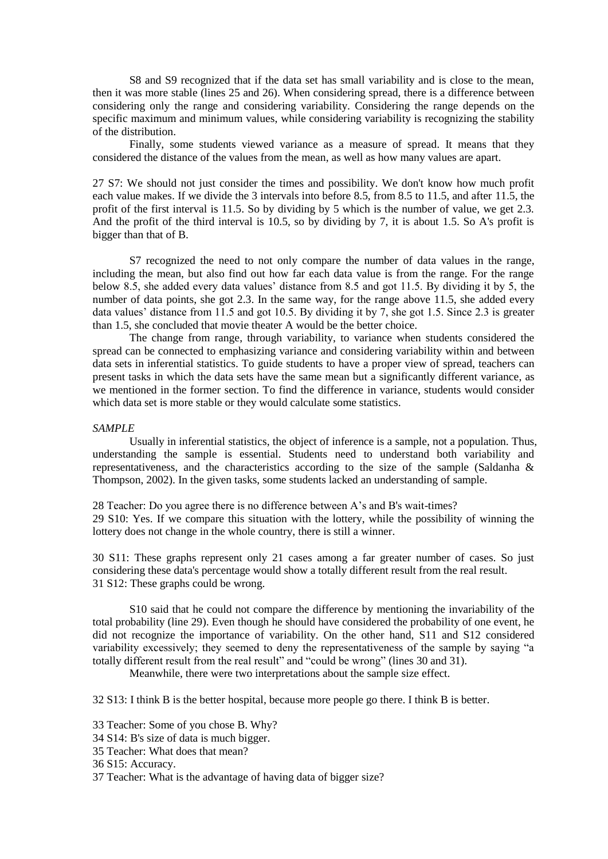S8 and S9 recognized that if the data set has small variability and is close to the mean, then it was more stable (lines 25 and 26). When considering spread, there is a difference between considering only the range and considering variability. Considering the range depends on the specific maximum and minimum values, while considering variability is recognizing the stability of the distribution.

Finally, some students viewed variance as a measure of spread. It means that they considered the distance of the values from the mean, as well as how many values are apart.

27 S7: We should not just consider the times and possibility. We don't know how much profit each value makes. If we divide the 3 intervals into before 8.5, from 8.5 to 11.5, and after 11.5, the profit of the first interval is 11.5. So by dividing by 5 which is the number of value, we get 2.3. And the profit of the third interval is 10.5, so by dividing by 7, it is about 1.5. So A's profit is bigger than that of B.

S7 recognized the need to not only compare the number of data values in the range, including the mean, but also find out how far each data value is from the range. For the range below 8.5, she added every data values' distance from 8.5 and got 11.5. By dividing it by 5, the number of data points, she got 2.3. In the same way, for the range above 11.5, she added every data values' distance from 11.5 and got 10.5. By dividing it by 7, she got 1.5. Since 2.3 is greater than 1.5, she concluded that movie theater A would be the better choice.

The change from range, through variability, to variance when students considered the spread can be connected to emphasizing variance and considering variability within and between data sets in inferential statistics. To guide students to have a proper view of spread, teachers can present tasks in which the data sets have the same mean but a significantly different variance, as we mentioned in the former section. To find the difference in variance, students would consider which data set is more stable or they would calculate some statistics.

#### *SAMPLE*

Usually in inferential statistics, the object of inference is a sample, not a population. Thus, understanding the sample is essential. Students need to understand both variability and representativeness, and the characteristics according to the size of the sample (Saldanha  $\&$ Thompson, 2002). In the given tasks, some students lacked an understanding of sample.

28 Teacher: Do you agree there is no difference between A's and B's wait-times? 29 S10: Yes. If we compare this situation with the lottery, while the possibility of winning the lottery does not change in the whole country, there is still a winner.

30 S11: These graphs represent only 21 cases among a far greater number of cases. So just considering these data's percentage would show a totally different result from the real result. 31 S12: These graphs could be wrong.

S10 said that he could not compare the difference by mentioning the invariability of the total probability (line 29). Even though he should have considered the probability of one event, he did not recognize the importance of variability. On the other hand, S11 and S12 considered variability excessively; they seemed to deny the representativeness of the sample by saying "a totally different result from the real result" and "could be wrong" (lines 30 and 31).

Meanwhile, there were two interpretations about the sample size effect.

32 S13: I think B is the better hospital, because more people go there. I think B is better.

33 Teacher: Some of you chose B. Why?

34 S14: B's size of data is much bigger.

35 Teacher: What does that mean?

36 S15: Accuracy.

37 Teacher: What is the advantage of having data of bigger size?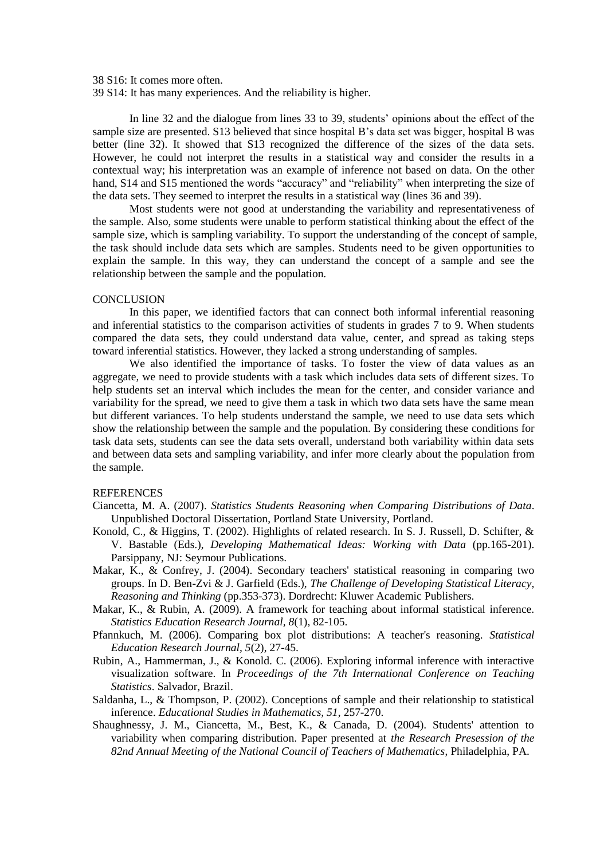38 S16: It comes more often.

39 S14: It has many experiences. And the reliability is higher.

In line 32 and the dialogue from lines 33 to 39, students' opinions about the effect of the sample size are presented. S13 believed that since hospital B's data set was bigger, hospital B was better (line 32). It showed that S13 recognized the difference of the sizes of the data sets. However, he could not interpret the results in a statistical way and consider the results in a contextual way; his interpretation was an example of inference not based on data. On the other hand, S14 and S15 mentioned the words "accuracy" and "reliability" when interpreting the size of the data sets. They seemed to interpret the results in a statistical way (lines 36 and 39).

Most students were not good at understanding the variability and representativeness of the sample. Also, some students were unable to perform statistical thinking about the effect of the sample size, which is sampling variability. To support the understanding of the concept of sample, the task should include data sets which are samples. Students need to be given opportunities to explain the sample. In this way, they can understand the concept of a sample and see the relationship between the sample and the population.

### **CONCLUSION**

In this paper, we identified factors that can connect both informal inferential reasoning and inferential statistics to the comparison activities of students in grades 7 to 9. When students compared the data sets, they could understand data value, center, and spread as taking steps toward inferential statistics. However, they lacked a strong understanding of samples.

We also identified the importance of tasks. To foster the view of data values as an aggregate, we need to provide students with a task which includes data sets of different sizes. To help students set an interval which includes the mean for the center, and consider variance and variability for the spread, we need to give them a task in which two data sets have the same mean but different variances. To help students understand the sample, we need to use data sets which show the relationship between the sample and the population. By considering these conditions for task data sets, students can see the data sets overall, understand both variability within data sets and between data sets and sampling variability, and infer more clearly about the population from the sample.

#### **REFERENCES**

- Ciancetta, M. A. (2007). *Statistics Students Reasoning when Comparing Distributions of Data*. Unpublished Doctoral Dissertation, Portland State University, Portland.
- Konold, C., & Higgins, T. (2002). Highlights of related research. In S. J. Russell, D. Schifter, & V. Bastable (Eds.), *Developing Mathematical Ideas: Working with Data* (pp.165-201). Parsippany, NJ: Seymour Publications.
- Makar, K., & Confrey, J. (2004). Secondary teachers' statistical reasoning in comparing two groups. In D. Ben-Zvi & J. Garfield (Eds.), *The Challenge of Developing Statistical Literacy, Reasoning and Thinking* (pp.353-373). Dordrecht: Kluwer Academic Publishers.
- Makar, K., & Rubin, A. (2009). A framework for teaching about informal statistical inference. *Statistics Education Research Journal, 8*(1), 82-105.
- Pfannkuch, M. (2006). Comparing box plot distributions: A teacher's reasoning. *Statistical Education Research Journal, 5*(2), 27-45.
- Rubin, A., Hammerman, J., & Konold. C. (2006). Exploring informal inference with interactive visualization software. In *Proceedings of the 7th International Conference on Teaching Statistics*. Salvador, Brazil.
- Saldanha, L., & Thompson, P. (2002). Conceptions of sample and their relationship to statistical inference. *Educational Studies in Mathematics, 51*, 257-270.
- Shaughnessy, J. M., Ciancetta, M., Best, K., & Canada, D. (2004). Students' attention to variability when comparing distribution. Paper presented at *the Research Presession of the 82nd Annual Meeting of the National Council of Teachers of Mathematics*, Philadelphia, PA.